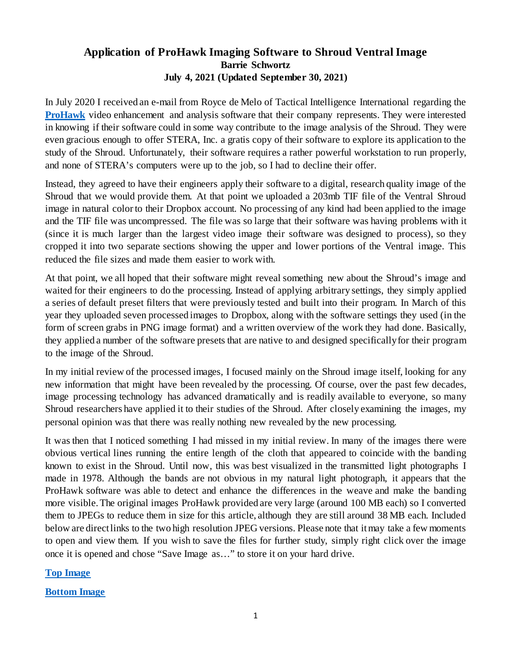## **Application of ProHawk Imaging Software to Shroud Ventral Image Barrie Schwortz July 4, 2021 (Updated September 30, 2021)**

In July 2020 I received an e-mail from Royce de Melo of Tactical Intelligence International regarding the **[ProHawk](https://tacticalintel.com/index.php/video-enhancement/)** video enhancement and analysis software that their company represents. They were interested in knowing if their software could in some way contribute to the image analysis of the Shroud. They were even gracious enough to offer STERA, Inc. a gratis copy of their software to explore its application to the study of the Shroud. Unfortunately, their software requires a rather powerful workstation to run properly, and none of STERA's computers were up to the job, so I had to decline their offer.

Instead, they agreed to have their engineers apply their software to a digital, research quality image of the Shroud that we would provide them. At that point we uploaded a 203mb TIF file of the Ventral Shroud image in natural color to their Dropbox account. No processing of any kind had been applied to the image and the TIF file was uncompressed. The file was so large that their software was having problems with it (since it is much larger than the largest video image their software was designed to process), so they cropped it into two separate sections showing the upper and lower portions of the Ventral image. This reduced the file sizes and made them easier to work with.

At that point, we all hoped that their software might reveal something new about the Shroud's image and waited for their engineers to do the processing. Instead of applying arbitrary settings, they simply applied a series of default preset filters that were previously tested and built into their program. In March of this year they uploaded seven processed images to Dropbox, along with the software settings they used (in the form of screen grabs in PNG image format) and a written overview of the work they had done. Basically, they applied a number of the software presets that are native to and designed specifically for their program to the image of the Shroud.

In my initial review of the processed images, I focused mainly on the Shroud image itself, looking for any new information that might have been revealed by the processing. Of course, over the past few decades, image processing technology has advanced dramatically and is readily available to everyone, so many Shroud researchers have applied it to their studies of the Shroud. After closely examining the images, my personal opinion was that there was really nothing new revealed by the new processing.

It was then that I noticed something I had missed in my initial review. In many of the images there were obvious vertical lines running the entire length of the cloth that appeared to coincide with the banding known to exist in the Shroud. Until now, this was best visualized in the transmitted light photographs I made in 1978. Although the bands are not obvious in my natural light photograph, it appears that the ProHawk software was able to detect and enhance the differences in the weave and make the banding more visible.The original images ProHawk provided are very large (around 100 MB each) so I converted them to JPEGs to reduce them in size for this article, although they are still around 38 MB each. Included below are direct links to the two high resolution JPEG versions. Please note that it may take a few moments to open and view them. If you wish to save the files for further study, simply right click over the image once it is opened and chose "Save Image as…" to store it on your hard drive.

**[Top Image](https://www.shroud.com/images/Prohawk%20image%207%20top.jpg)**

**[Bottom Image](https://www.shroud.com/images/Prohawk%20Image%207%20bottom.jpg)**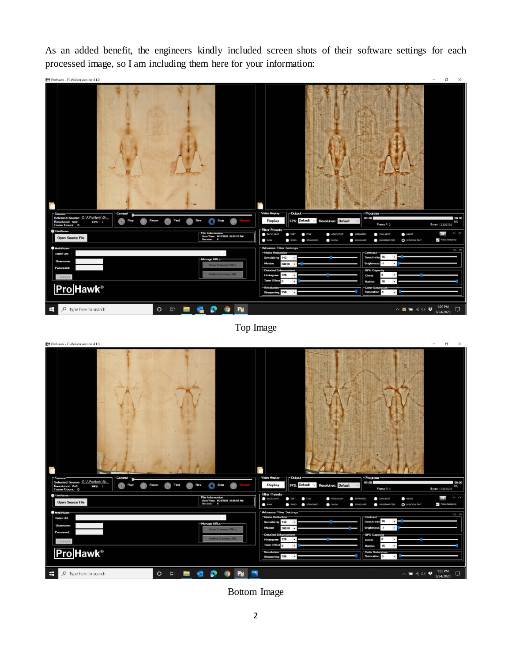As an added benefit, the engineers kindly included screen shots of their software settings for each processed image, so I am including them here for your information:



Top Image



Bottom Image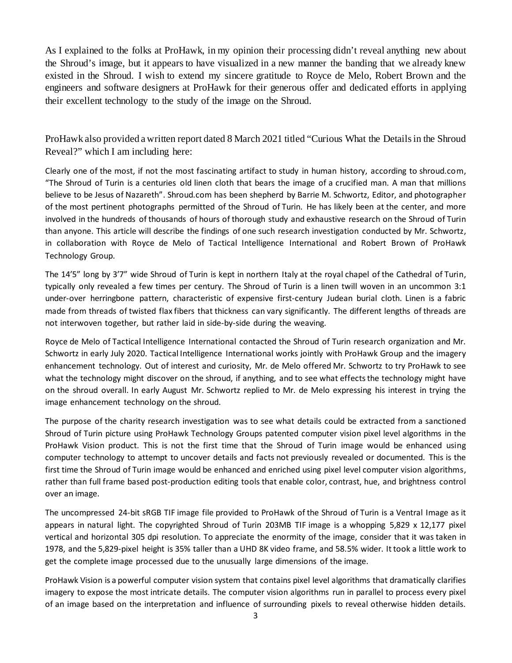As I explained to the folks at ProHawk, in my opinion their processing didn't reveal anything new about the Shroud's image, but it appears to have visualized in a new manner the banding that we already knew existed in the Shroud. I wish to extend my sincere gratitude to Royce de Melo, Robert Brown and the engineers and software designers at ProHawk for their generous offer and dedicated efforts in applying their excellent technology to the study of the image on the Shroud.

ProHawk also provided a written report dated 8 March 2021 titled "Curious What the Details in the Shroud Reveal?" which I am including here:

Clearly one of the most, if not the most fascinating artifact to study in human history, according to shroud.com, "The Shroud of Turin is a centuries old linen cloth that bears the image of a crucified man. A man that millions believe to be Jesus of Nazareth". Shroud.com has been shepherd by Barrie M. Schwortz, Editor, and photographer of the most pertinent photographs permitted of the Shroud of Turin. He has likely been at the center, and more involved in the hundreds of thousands of hours of thorough study and exhaustive research on the Shroud of Turin than anyone. This article will describe the findings of one such research investigation conducted by Mr. Schwortz, in collaboration with Royce de Melo of Tactical Intelligence International and Robert Brown of ProHawk Technology Group.

The 14'5" long by 3'7" wide Shroud of Turin is kept in northern Italy at the royal chapel of the Cathedral of Turin, typically only revealed a few times per century. The Shroud of Turin is a linen twill woven in an uncommon 3:1 under-over herringbone pattern, characteristic of expensive first-century Judean burial cloth. Linen is a fabric made from threads of twisted flax fibers that thickness can vary significantly. The different lengths of threads are not interwoven together, but rather laid in side-by-side during the weaving.

Royce de Melo of Tactical Intelligence International contacted the Shroud of Turin research organization and Mr. Schwortz in early July 2020. Tactical Intelligence International works jointly with ProHawk Group and the imagery enhancement technology. Out of interest and curiosity, Mr. de Melo offered Mr. Schwortz to try ProHawk to see what the technology might discover on the shroud, if anything, and to see what effects the technology might have on the shroud overall. In early August Mr. Schwortz replied to Mr. de Melo expressing his interest in trying the image enhancement technology on the shroud.

The purpose of the charity research investigation was to see what details could be extracted from a sanctioned Shroud of Turin picture using ProHawk Technology Groups patented computer vision pixel level algorithms in the ProHawk Vision product. This is not the first time that the Shroud of Turin image would be enhanced using computer technology to attempt to uncover details and facts not previously revealed or documented. This is the first time the Shroud of Turin image would be enhanced and enriched using pixel level computer vision algorithms, rather than full frame based post-production editing tools that enable color, contrast, hue, and brightness control over an image.

The uncompressed 24-bit sRGB TIF image file provided to ProHawk of the Shroud of Turin is a Ventral Image as it appears in natural light. The copyrighted Shroud of Turin 203MB TIF image is a whopping 5,829 x 12,177 pixel vertical and horizontal 305 dpi resolution. To appreciate the enormity of the image, consider that it was taken in 1978, and the 5,829-pixel height is 35% taller than a UHD 8K video frame, and 58.5% wider. It took a little work to get the complete image processed due to the unusually large dimensions of the image.

ProHawk Vision is a powerful computer vision system that contains pixel level algorithms that dramatically clarifies imagery to expose the most intricate details. The computer vision algorithms run in parallel to process every pixel of an image based on the interpretation and influence of surrounding pixels to reveal otherwise hidden details.